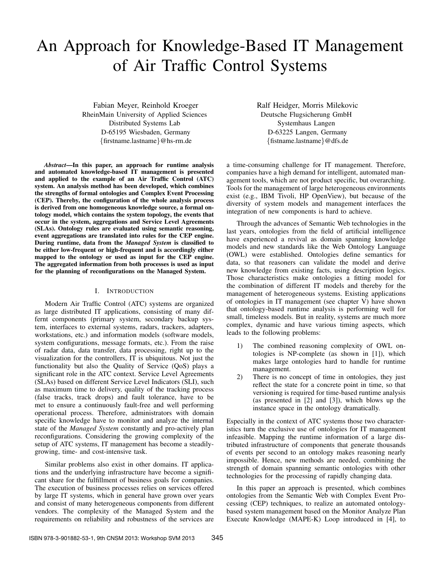# An Approach for Knowledge-Based IT Management of Air Traffic Control Systems

Fabian Meyer, Reinhold Kroeger RheinMain University of Applied Sciences Distributed Systems Lab D-65195 Wiesbaden, Germany {firstname.lastname}@hs-rm.de

*Abstract*—In this paper, an approach for runtime analysis and automated knowledge-based IT management is presented and applied to the example of an Air Traffic Control (ATC) system. An analysis method has been developed, which combines the strengths of formal ontologies and Complex Event Processing (CEP). Thereby, the configuration of the whole analysis process is derived from one homogeneous knowledge source, a formal ontology model, which contains the system topology, the events that occur in the system, aggregations and Service Level Agreements (SLAs). Ontology rules are evaluated using semantic reasoning, event aggregations are translated into rules for the CEP engine. During runtime, data from the *Managed System* is classified to be either low-frequent or high-frequent and is accordingly either mapped to the ontology or used as input for the CEP engine. The aggregated information from both processes is used as input for the planning of reconfigurations on the Managed System.

#### I. INTRODUCTION

Modern Air Traffic Control (ATC) systems are organized as large distributed IT applications, consisting of many differnt components (primary system, secondary backup system, interfaces to external systems, radars, trackers, adapters, workstations, etc.) and information models (software models, system configurations, message formats, etc.). From the raise of radar data, data transfer, data processing, right up to the visualization for the controllers, IT is ubiquitous. Not just the functionality but also the Quality of Service (QoS) plays a significant role in the ATC context. Service Level Agreements (SLAs) based on different Service Level Indicators (SLI), such as maximum time to delivery, quality of the tracking process (false tracks, track drops) and fault tolerance, have to be met to ensure a continuously fault-free and well performing operational process. Therefore, administrators with domain specific knowledge have to monitor and analyze the internal state of the *Managed System* constantly and pro-actively plan reconfigurations. Considering the growing complexity of the setup of ATC systems, IT management has become a steadilygrowing, time- and cost-intensive task.

Similar problems also exist in other domains. IT applications and the underlying infrastructure have become a significant share for the fulfillment of business goals for companies. The execution of business processes relies on services offered by large IT systems, which in general have grown over years and consist of many heterogeneous components from different vendors. The complexity of the Managed System and the requirements on reliability and robustness of the services are Ralf Heidger, Morris Milekovic Deutsche Flugsicherung GmbH Systemhaus Langen D-63225 Langen, Germany {fistname.lastname}@dfs.de

a time-consuming challenge for IT management. Therefore, companies have a high demand for intelligent, automated management tools, which are not product specific, but overarching. Tools for the management of large heterogeneous environments exist (e.g., IBM Tivoli, HP OpenView), but because of the diversity of system models and management interfaces the integration of new components is hard to achieve.

Through the advances of Semantic Web technologies in the last years, ontologies from the field of artificial intelligence have experienced a revival as domain spanning knowledge models and new standards like the Web Ontology Language (OWL) were established. Ontologies define semantics for data, so that reasoners can validate the model and derive new knowledge from existing facts, using description logics. Those characteristics make ontologies a fitting model for the combination of different IT models and thereby for the management of heterogeneous systems. Existing applications of ontologies in IT management (see chapter V) have shown that ontology-based runtime analysis is performing well for small, timeless models. But in reality, systems are much more complex, dynamic and have various timing aspects, which leads to the following problems:

- 1) The combined reasoning complexity of OWL ontologies is NP-complete (as shown in [1]), which makes large ontologies hard to handle for runtime management.
- 2) There is no concept of time in ontologies, they just reflect the state for a concrete point in time, so that versioning is required for time-based runtime analysis (as presented in [2] and [3]), which blows up the instance space in the ontology dramatically.

Especially in the context of ATC systems those two characteristics turn the exclusive use of ontologies for IT management infeasible. Mapping the runtime information of a large distributed infrastructure of components that generate thousands of events per second to an ontology makes reasoning nearly impossible. Hence, new methods are needed, combining the strength of domain spanning semantic ontologies with other technologies for the processing of rapidly changing data.

In this paper an approach is presented, which combines ontologies from the Semantic Web with Complex Event Processing (CEP) techniques, to realize an automated ontologybased system management based on the Monitor Analyze Plan Execute Knowledge (MAPE-K) Loop introduced in [4], to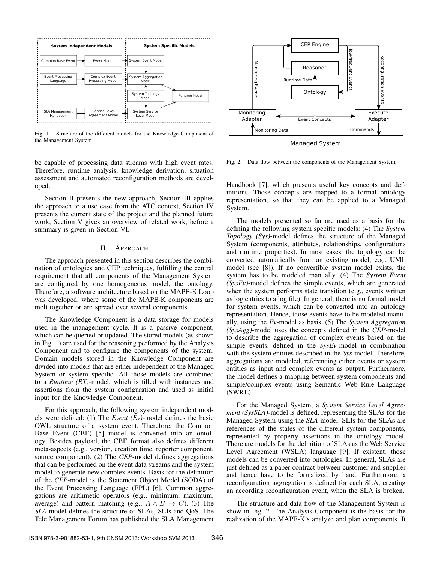

Fig. 1. Structure of the different models for the Knowledge Component of the Management System

be capable of processing data streams with high event rates. Therefore, runtime analysis, knowledge derivation, situation assessment and automated reconfiguration methods are developed.

Section II presents the new approach, Section III applies the approach to a use case from the ATC context, Section IV presents the current state of the project and the planned future work, Section V gives an overview of related work, before a summary is given in Section VI.

#### II. APPROACH

The approach presented in this section describes the combination of ontologies and CEP techniques, fulfilling the central requirement that all components of the Management System are configured by one homogeneous model, the ontology. Therefore, a software architecture based on the MAPE-K Loop was developed, where some of the MAPE-K components are melt together or are spread over several components.

The Knowledge Component is a data storage for models used in the management cycle. It is a passive component, which can be queried or updated. The stored models (as shown in Fig. 1) are used for the reasoning performed by the Analysis Component and to configure the components of the system. Domain models stored in the Knowledge Component are divided into models that are either independent of the Managed System or system specific. All those models are combined to a *Runtime (RT)*-model, which is filled with instances and assertions from the system configuration and used as initial input for the Knowledge Component.

For this approach, the following system independent models were defined: (1) The *Event (Ev)*-model defines the basic OWL structure of a system event. Therefore, the Common Base Event (CBE) [5] model is converted into an ontology. Besides payload, the CBE format also defines different meta-aspects (e.g., version, creation time, reporter component, source component). (2) The *CEP*-model defines aggregations that can be performed on the event data streams and the system model to generate new complex events. Basis for the definition of the *CEP*-model is the Statement Object Model (SODA) of the Event Processing Language (EPL) [6]. Common aggregations are arithmetic operators (e.g., minimum, maximum, average) and pattern matching (e.g.,  $A \wedge B \rightarrow C$ ). (3) The *SLA*-model defines the structure of SLAs, SLIs and QoS. The Tele Management Forum has published the SLA Management



Fig. 2. Data flow between the components of the Management System.

Handbook [7], which presents useful key concepts and definitions. Those concepts are mapped to a formal ontology representation, so that they can be applied to a Managed System.

The models presented so far are used as a basis for the defining the following system specific models: (4) The *System Topology (Sys)*-model defines the structure of the Managed System (components, attributes, relationships, configurations and runtime properties). In most cases, the topology can be converted automatically from an existing model, e.g., UML model (see [8]). If no convertible system model exists, the system has to be modeled manually. (4) The *System Event (SysEv)*-model defines the simple events, which are generated when the system performs state transition (e.g., events written as log entries to a log file). In general, there is no formal model for system events, which can be converted into an ontology representation. Hence, those events have to be modeled manually, using the *Ev*-model as basis. (5) The *System Aggregation (SysAgg)*-model uses the concepts defined in the *CEP*-model to describe the aggregation of complex events based on the simple events, defined in the *SysEv*-model in combination with the system entities described in the *Sys*-model. Therefore, aggregations are modeled, referencing either events or system entities as input and complex events as output. Furthermore, the model defines a mapping between system components and simple/complex events using Semantic Web Rule Language (SWRL).

For the Managed System, a *System Service Level Agreement (SysSLA)*-model is defined, representing the SLAs for the Managed System using the *SLA*-model. SLIs for the SLAs are references of the states of the different system components, represented by property assertions in the ontology model. There are models for the definition of SLAs as the Web Service Level Agreement (WSLA) language [9]. If existent, those models can be converted into ontologies. In general, SLAs are just defined as a paper contract between customer and supplier and hence have to be formalized by hand. Furthermore, a reconfiguration aggregation is defined for each SLA, creating an according reconfiguration event, when the SLA is broken.

The structure and data flow of the Management System is show in Fig. 2. The Analysis Component is the basis for the realization of the MAPE-K's analyze and plan components. It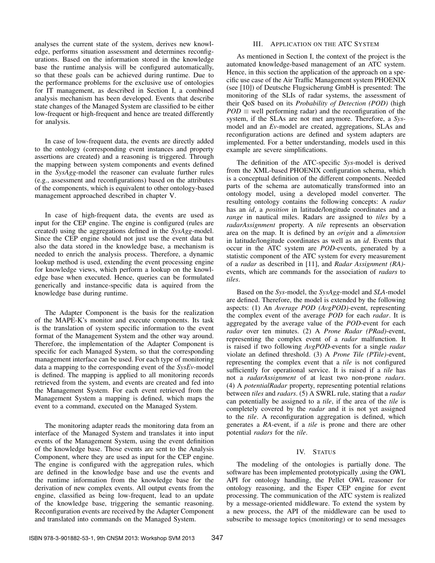analyses the current state of the system, derives new knowledge, performs situation assessment and determines reconfigurations. Based on the information stored in the knowledge base the runtime analysis will be configured automatically, so that these goals can be achieved during runtime. Due to the performance problems for the exclusive use of ontologies for IT management, as described in Section I, a combined analysis mechanism has been developed. Events that describe state changes of the Managed System are classified to be either low-frequent or high-frequent and hence are treated differently for analysis.

In case of low-frequent data, the events are directly added to the ontology (corresponding event instances and property assertions are created) and a reasoning is triggered. Through the mapping between system components and events defined in the *SysAgg*-model the reasoner can evaluate further rules (e.g., assessment and reconfigurations) based on the attributes of the components, which is equivalent to other ontology-based management approached described in chapter V.

In case of high-frequent data, the events are used as input for the CEP engine. The engine is configured (rules are created) using the aggregations defined in the *SysAgg*-model. Since the CEP engine should not just use the event data but also the data stored in the knowledge base, a mechanism is needed to enrich the analysis process. Therefore, a dynamic lookup method is used, extending the event processing engine for knowledge views, which perform a lookup on the knowledge base when executed. Hence, queries can be formulated generically and instance-specific data is aquired from the knowledge base during runtime.

The Adapter Component is the basis for the realization of the MAPE-K's monitor and execute components. Its task is the translation of system specific information to the event format of the Management System and the other way around. Therefore, the implementation of the Adapter Component is specific for each Managed System, so that the corresponding management interface can be used. For each type of monitoring data a mapping to the corresponding event of the *SysEv*-model is defined. The mapping is applied to all monitoring records retrieved from the system, and events are created and fed into the Management System. For each event retrieved from the Management System a mapping is defined, which maps the event to a command, executed on the Managed System.

The monitoring adapter reads the monitoring data from an interface of the Managed System and translates it into input events of the Management System, using the event definition of the knowledge base. Those events are sent to the Analysis Component, where they are used as input for the CEP engine. The engine is configured with the aggregation rules, which are defined in the knowledge base and use the events and the runtime information from the knowledge base for the derivation of new complex events. All output events from the engine, classified as being low-frequent, lead to an update of the knowledge base, triggering the semantic reasoning. Reconfiguration events are received by the Adapter Component and translated into commands on the Managed System.

## III. APPLICATION ON THE ATC SYSTEM

As mentioned in Section I, the context of the project is the automated knowledge-based management of an ATC system. Hence, in this section the application of the approach on a specific use case of the Air Traffic Management system PHOENIX (see [10]) of Deutsche Flugsicherung GmbH is presented: The monitoring of the SLIs of radar systems, the assessment of their QoS based on its *Probability of Detection (POD)* (high  $POD \equiv$  well performing radar) and the reconfiguration of the system, if the SLAs are not met anymore. Therefore, a *Sys*model and an *Ev*-model are created, aggregations, SLAs and reconfiguration actions are defined and system adapters are implemented. For a better understanding, models used in this example are severe simplifications.

The definition of the ATC-specific *Sys*-model is derived from the XML-based PHOENIX configuration schema, which is a conceptual definition of the different components. Needed parts of the schema are automatically transformed into an ontology model, using a developed model converter. The resulting ontology contains the following concepts: A *radar* has an *id*, a *position* in latitude/longitude coordinates and a *range* in nautical miles. Radars are assigned to *tiles* by a *radarAssignment* property. A *tile* represents an observation area on the map. It is defined by an *origin* and a *dimension* in latitude/longitude coordinates as well as an *id*. Events that occur in the ATC system are *POD*-events, generated by a statistic component of the ATC system for every measurement of a *radar* as described in [11], and *Radar Assignment (RA)* events, which are commands for the association of *radars* to *tiles*.

Based on the *Sys*-model, the *SysAgg*-model and *SLA*-model are defined. Therefore, the model is extended by the following aspects: (1) An *Average POD (AvgPOD)*-event, representing the complex event of the average *POD* for each *radar*. It is aggregated by the average value of the *POD*-event for each *radar* over ten minutes. (2) A *Prone Radar (PRad)*-event, representing the complex event of a *radar* malfunction. It is raised if two following *AvgPOD*-events for a single *radar* violate an defined threshold. (3) A *Prone Tile (PTile)*-event, representing the complex event that a *tile* is not configured sufficiently for operational service. It is raised if a *tile* has not a *radarAssignment* of at least two non-prone *radars*. (4) A *potentialRadar* property, representing potential relations between *tiles* and *radars*. (5) A SWRL rule, stating that a *radar* can potentially be assigned to a *tile*, if the area of the *tile* is completely covered by the *radar* and it is not yet assigned to the *tile*. A reconfiguration aggregation is defined, which generates a *RA*-event, if a *tile* is prone and there are other potential *radars* for the *tile*.

## IV. STATUS

The modeling of the ontologies is partially done. The software has been implemented prototypically ,using the OWL API for ontology handling, the Pellet OWL reasoner for ontology reasoning, and the Esper CEP engine for event processing. The communication of the ATC system is realized by a message-oriented middleware. To extend the system by a new process, the API of the middleware can be used to subscribe to message topics (monitoring) or to send messages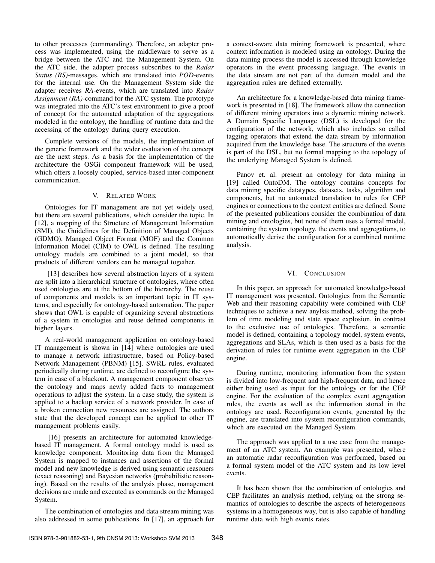to other processes (commanding). Therefore, an adapter process was implemented, using the middleware to serve as a bridge between the ATC and the Management System. On the ATC side, the adapter process subscribes to the *Radar Status (RS)*-messages, which are translated into *POD*-events for the internal use. On the Management System side the adapter receives *RA*-events, which are translated into *Radar Assignment (RA)*-command for the ATC system. The prototype was integrated into the ATC's test environment to give a proof of concept for the automated adaptation of the aggregations modeled in the ontology, the handling of runtime data and the accessing of the ontology during query execution.

Complete versions of the models, the implementation of the generic framework and the wider evaluation of the concept are the next steps. As a basis for the implementation of the architecture the OSGi component framework will be used, which offers a loosely coupled, service-based inter-component communication.

#### V. RELATED WORK

Ontologies for IT management are not yet widely used, but there are several publications, which consider the topic. In [12], a mapping of the Structure of Management Information (SMI), the Guidelines for the Definition of Managed Objects (GDMO), Managed Object Format (MOF) and the Common Information Model (CIM) to OWL is defined. The resulting ontology models are combined to a joint model, so that products of different vendors can be managed together.

[13] describes how several abstraction layers of a system are split into a hierarchical structure of ontologies, where often used ontologies are at the bottom of the hierarchy. The reuse of components and models is an important topic in IT systems, and especially for ontology-based automation. The paper shows that OWL is capable of organizing several abstractions of a system in ontologies and reuse defined components in higher layers.

A real-world management application on ontology-based IT management is shown in [14] where ontologies are used to manage a network infrastructure, based on Policy-based Network Management (PBNM) [15]. SWRL rules, evaluated periodically during runtime, are defined to reconfigure the system in case of a blackout. A management component observes the ontology and maps newly added facts to management operations to adjust the system. In a case study, the system is applied to a backup service of a network provider. In case of a broken connection new resources are assigned. The authors state that the developed concept can be applied to other IT management problems easily.

[16] presents an architecture for automated knowledgebased IT management. A formal ontology model is used as knowledge component. Monitoring data from the Managed System is mapped to instances and assertions of the formal model and new knowledge is derived using semantic reasoners (exact reasoning) and Bayesian networks (probabilistic reasoning). Based on the results of the analysis phase, management decisions are made and executed as commands on the Managed System.

The combination of ontologies and data stream mining was also addressed in some publications. In [17], an approach for a context-aware data mining framework is presented, where context information is modeled using an ontology. During the data mining process the model is accessed through knowledge operators in the event processing language. The events in the data stream are not part of the domain model and the aggregation rules are defined externally.

An architecture for a knowledge-based data mining framework is presented in [18]. The framework allow the connection of different mining operators into a dynamic mining network. A Domain Specific Language (DSL) is developed for the configuration of the network, which also includes so called tagging operators that extend the data stream by information acquired from the knowledge base. The structure of the events is part of the DSL, but no formal mapping to the topology of the underlying Managed System is defined.

Panov et. al. present an ontology for data mining in [19] called OntoDM. The ontology contains concepts for data mining specific datatypes, datasets, tasks, algorithm and components, but no automated translation to rules for CEP engines or connections to the context entities are defined. Some of the presented publications consider the combination of data mining and ontologies, but none of them uses a formal model, containing the system topology, the events and aggregations, to automatically derive the configuration for a combined runtime analysis.

## VI. CONCLUSION

In this paper, an approach for automated knowledge-based IT management was presented. Ontologies from the Semantic Web and their reasoning capability were combined with CEP techniques to achieve a new anylsis method, solving the problem of time modeling and state space explosion, in contrast to the exclusive use of ontologies. Therefore, a semantic model is defined, containing a topology model, system events, aggregations and SLAs, which is then used as a basis for the derivation of rules for runtime event aggregation in the CEP engine.

During runtime, monitoring information from the system is divided into low-frequent and high-frequent data, and hence either being used as input for the ontology or for the CEP engine. For the evaluation of the complex event aggregation rules, the events as well as the information stored in the ontology are used. Reconfiguration events, generated by the engine, are translated into system reconfiguration commands, which are executed on the Managed System.

The approach was applied to a use case from the management of an ATC system. An example was presented, where an automatic radar reconfiguration was performed, based on a formal system model of the ATC system and its low level events.

It has been shown that the combination of ontologies and CEP facilitates an analysis method, relying on the strong semantics of ontologies to describe the aspects of heterogeneous systems in a homogeneous way, but is also capable of handling runtime data with high events rates.